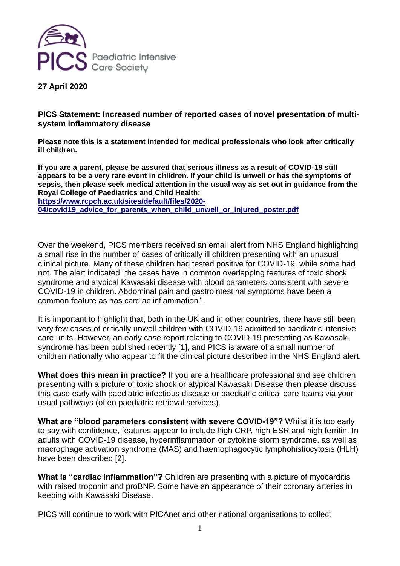

**27 April 2020**

**PICS Statement: Increased number of reported cases of novel presentation of multisystem inflammatory disease**

**Please note this is a statement intended for medical professionals who look after critically ill children.**

**If you are a parent, please be assured that serious illness as a result of COVID-19 still appears to be a very rare event in children. If your child is unwell or has the symptoms of sepsis, then please seek medical attention in the usual way as set out in guidance from the Royal College of Paediatrics and Child Health:**

**[https://www.rcpch.ac.uk/sites/default/files/2020-](https://www.rcpch.ac.uk/sites/default/files/2020-04/covid19_advice_for_parents_when_child_unwell_or_injured_poster.pdf) [04/covid19\\_advice\\_for\\_parents\\_when\\_child\\_unwell\\_or\\_injured\\_poster.pdf](https://www.rcpch.ac.uk/sites/default/files/2020-04/covid19_advice_for_parents_when_child_unwell_or_injured_poster.pdf)**

Over the weekend, PICS members received an email alert from NHS England highlighting a small rise in the number of cases of critically ill children presenting with an unusual clinical picture. Many of these children had tested positive for COVID-19, while some had not. The alert indicated "the cases have in common overlapping features of toxic shock syndrome and atypical Kawasaki disease with blood parameters consistent with severe COVID-19 in children. Abdominal pain and gastrointestinal symptoms have been a common feature as has cardiac inflammation".

It is important to highlight that, both in the UK and in other countries, there have still been very few cases of critically unwell children with COVID-19 admitted to paediatric intensive care units. However, an early case report relating to COVID-19 presenting as Kawasaki syndrome has been published recently [1], and PICS is aware of a small number of children nationally who appear to fit the clinical picture described in the NHS England alert.

**What does this mean in practice?** If you are a healthcare professional and see children presenting with a picture of toxic shock or atypical Kawasaki Disease then please discuss this case early with paediatric infectious disease or paediatric critical care teams via your usual pathways (often paediatric retrieval services).

**What are "blood parameters consistent with severe COVID-19"?** Whilst it is too early to say with confidence, features appear to include high CRP, high ESR and high ferritin. In adults with COVID-19 disease, hyperinflammation or cytokine storm syndrome, as well as macrophage activation syndrome (MAS) and haemophagocytic lymphohistiocytosis (HLH) have been described [2].

**What is "cardiac inflammation"?** Children are presenting with a picture of myocarditis with raised troponin and proBNP. Some have an appearance of their coronary arteries in keeping with Kawasaki Disease.

PICS will continue to work with PICAnet and other national organisations to collect